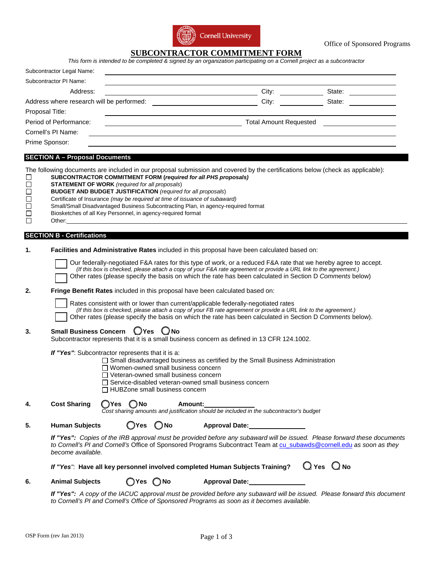

Office of Sponsored Programs

### **SUBCONTRACTOR COMMITMENT FORM**

| Subcontractor Legal Name: |                               |        |
|---------------------------|-------------------------------|--------|
| Subcontractor PI Name:    |                               |        |
| Address:                  | City:                         | State: |
|                           | City:                         | State: |
| Proposal Title:           |                               |        |
| Period of Performance:    | <b>Total Amount Requested</b> |        |
| Cornell's PI Name:        |                               |        |
| Prime Sponsor:            |                               |        |

# **SECTION A – Proposal Documents**

|                                                                                     | JEUTIUN A – FIUPUSAI DUURIRIRS                                                                                                                                                                                                                                                                                                                   |                                                                                                                                                                                                                                                                                                                                                                                                                                                                                                                                                                                                                          |  |  |  |  |  |
|-------------------------------------------------------------------------------------|--------------------------------------------------------------------------------------------------------------------------------------------------------------------------------------------------------------------------------------------------------------------------------------------------------------------------------------------------|--------------------------------------------------------------------------------------------------------------------------------------------------------------------------------------------------------------------------------------------------------------------------------------------------------------------------------------------------------------------------------------------------------------------------------------------------------------------------------------------------------------------------------------------------------------------------------------------------------------------------|--|--|--|--|--|
| □<br>$\Box$<br>$\Box$<br>$\Box$<br>$\Box$<br>$\Box$<br>$\Box$                       | Other:                                                                                                                                                                                                                                                                                                                                           | The following documents are included in our proposal submission and covered by the certifications below (check as applicable):<br>SUBCONTRACTOR COMMITMENT FORM (required for all PHS proposals)<br><b>STATEMENT OF WORK</b> (required for all proposals)<br><b>BUDGET AND BUDGET JUSTIFICATION</b> (required for all proposals)<br>Certificate of Insurance (may be required at time of issuance of subaward)<br>Small/Small Disadvantaged Business Subcontracting Plan, in agency-required format<br>Biosketches of all Key Personnel, in agency-required format<br><u> 1989 - John Stein, Amerikaansk politiker (</u> |  |  |  |  |  |
|                                                                                     | <b>SECTION B - Certifications</b>                                                                                                                                                                                                                                                                                                                |                                                                                                                                                                                                                                                                                                                                                                                                                                                                                                                                                                                                                          |  |  |  |  |  |
| 1.                                                                                  | Facilities and Administrative Rates included in this proposal have been calculated based on:                                                                                                                                                                                                                                                     |                                                                                                                                                                                                                                                                                                                                                                                                                                                                                                                                                                                                                          |  |  |  |  |  |
|                                                                                     | Our federally-negotiated F&A rates for this type of work, or a reduced F&A rate that we hereby agree to accept.<br>(If this box is checked, please attach a copy of your F&A rate agreement or provide a URL link to the agreement.)<br>Other rates (please specify the basis on which the rate has been calculated in Section D Comments below) |                                                                                                                                                                                                                                                                                                                                                                                                                                                                                                                                                                                                                          |  |  |  |  |  |
| Fringe Benefit Rates included in this proposal have been calculated based on:<br>2. |                                                                                                                                                                                                                                                                                                                                                  |                                                                                                                                                                                                                                                                                                                                                                                                                                                                                                                                                                                                                          |  |  |  |  |  |
|                                                                                     | Rates consistent with or lower than current/applicable federally-negotiated rates<br>(If this box is checked, please attach a copy of your FB rate agreement or provide a URL link to the agreement.)<br>Other rates (please specify the basis on which the rate has been calculated in Section D Comments below).                               |                                                                                                                                                                                                                                                                                                                                                                                                                                                                                                                                                                                                                          |  |  |  |  |  |
| 3.                                                                                  | Small Business Concern UYes<br>∪No<br>Subcontractor represents that it is a small business concern as defined in 13 CFR 124.1002.                                                                                                                                                                                                                |                                                                                                                                                                                                                                                                                                                                                                                                                                                                                                                                                                                                                          |  |  |  |  |  |
|                                                                                     | If "Yes": Subcontractor represents that it is a:<br>$\Box$ Small disadvantaged business as certified by the Small Business Administration<br>$\Box$ Women-owned small business concern<br>$\Box$ Veteran-owned small business concern<br>□ Service-disabled veteran-owned small business concern<br>$\Box$ HUBZone small business concern        |                                                                                                                                                                                                                                                                                                                                                                                                                                                                                                                                                                                                                          |  |  |  |  |  |
| 4.                                                                                  | <b>Cost Sharing</b>                                                                                                                                                                                                                                                                                                                              | $OY$ es $O$ No<br>Amount:<br>Cost sharing amounts and justification should be included in the subcontractor's budget                                                                                                                                                                                                                                                                                                                                                                                                                                                                                                     |  |  |  |  |  |
| 5.                                                                                  | <b>Human Subjects</b>                                                                                                                                                                                                                                                                                                                            | $\bigcirc$ No<br>◯Yes<br>Approval Date:                                                                                                                                                                                                                                                                                                                                                                                                                                                                                                                                                                                  |  |  |  |  |  |
|                                                                                     |                                                                                                                                                                                                                                                                                                                                                  | If "Yes": Copies of the IRB approval must be provided before any subaward will be issued. Please forward these documents<br>to Cornell's PI and Cornell's Office of Sponsored Programs Subcontract Team at cu subawds@cornell.edu as soon as they<br>become available.                                                                                                                                                                                                                                                                                                                                                   |  |  |  |  |  |
|                                                                                     |                                                                                                                                                                                                                                                                                                                                                  | $Q$ Yes $Q$ No<br>If "Yes": Have all key personnel involved completed Human Subjects Training?                                                                                                                                                                                                                                                                                                                                                                                                                                                                                                                           |  |  |  |  |  |
| 6.                                                                                  | <b>Animal Subjects</b>                                                                                                                                                                                                                                                                                                                           | <b>Approval Date:</b><br>( )Yes ( )No                                                                                                                                                                                                                                                                                                                                                                                                                                                                                                                                                                                    |  |  |  |  |  |
|                                                                                     |                                                                                                                                                                                                                                                                                                                                                  | $\mathbf{r}$ , and $\mathbf{r}$ , and $\mathbf{r}$<br>$\sim$<br>$\sim$ . The contract of the contract of the contract of the contract of the contract of the contract of the contract of the contract of the contract of the contract of the contract of the contract of the contract of the co                                                                                                                                                                                                                                                                                                                          |  |  |  |  |  |

*If "Yes": A copy of the IACUC approval must be provided before any subaward will be issued. Please forward this document to Cornell's PI and Cornell's Office of Sponsored Programs as soon as it becomes available.*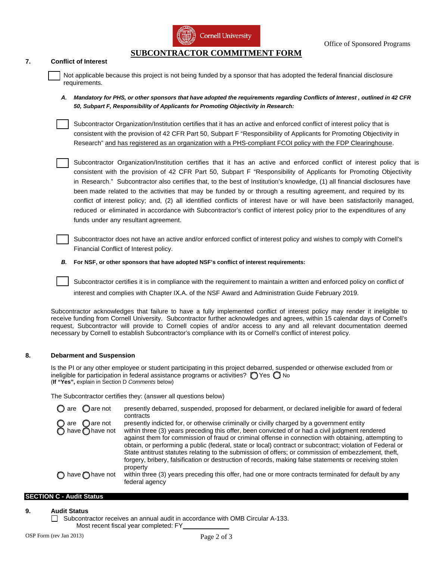

## **SUBCONTRACTOR COMMITMENT FORM**

#### **7. Conflict of Interest**

Not applicable because this project is not being funded by a sponsor that has adopted the federal financial disclosure requirements.

*A. Mandatory for PHS, or other sponsors that have adopted the requirements regarding Conflicts of Interest , outlined in 42 CFR 50, Subpart F, Responsibility of Applicants for Promoting Objectivity in Research:*

Subcontractor Organization/Institution certifies that it has an active and enforced conflict of interest policy that is consistent with the provision of 42 CFR Part 50, Subpart F "Responsibility of Applicants for Promoting Objectivity in Research" and has registered as an organization with a PHS-compliant FCOI policy with the FDP Clearinghouse.

Subcontractor Organization/Institution certifies that it has an active and enforced conflict of interest policy that is consistent with the provision of 42 CFR Part 50, Subpart F "Responsibility of Applicants for Promoting Objectivity in Research." Subcontractor also certifies that, to the best of Institution's knowledge, (1) all financial disclosures have been made related to the activities that may be funded by or through a resulting agreement, and required by its conflict of interest policy; and, (2) all identified conflicts of interest have or will have been satisfactorily managed, reduced or eliminated in accordance with Subcontractor's conflict of interest policy prior to the expenditures of any funds under any [resultant agreement.](http://sites.nationalacademies.org/PGA/fdp/PGA_061001)

Subcontractor does not have an active and/or enforced conflict of interest policy and wishes to comply with Cornell's Financial Conflict of Interest policy.

*B.* **For NSF, or other sponsors that have adopted NSF's conflict of interest requirements:**

Subcontractor certifies it is in compliance with the requirement to maintain a written and enforced policy on conflict of interest and complies with Chapter IX.A. of the NSF Award and Administration Guide February 2019.

Subcontractor acknowledges that failure to have a fully implemented conflict of interest policy may render it ineligible to receive funding from Cornell University. Subcontractor further acknowledges and agrees, within 15 calendar days of Cornell's request, Subcontractor will provide to Cornell copies of and/or access to any and all relevant documentation deemed necessary by Cornell to establish Subcontractor's compliance with its or Cornell's conflict of interest policy.

#### **8. Debarment and Suspension**

Is the PI or any other employee or student participating in this project debarred, suspended or otherwise excluded from or ineligible for participation in federal assistance programs or activities?  $\bigcap$  Yes  $\bigcap$  No (**If "Yes",** explain in Section D *Comments* below)

The Subcontractor certifies they: (answer all questions below)

 $\bigcirc$  are  $\bigcirc$  are not presently debarred, suspended, proposed for debarment, or declared ineligible for award of federal contracts  $\bigcirc$  are  $\bigcirc$  are not presently indicted for, or otherwise criminally or civilly charged by a government entity  $\bigcirc$  have  $\bigcirc$  have not within three (3) years preceding this offer, been convicted of or had a civil jud within three (3) years preceding this offer, been convicted of or had a civil judgment rendered against them for commission of fraud or criminal offense in connection with obtaining, attempting to obtain, or performing a public (federal, state or local) contract or subcontract; violation of Federal or State antitrust statutes relating to the submission of offers; or commission of embezzlement, theft, forgery, bribery, falsification or destruction of records, making false statements or receiving stolen property  $\bigcap$  have  $\bigcap$  have not within three (3) years preceding this offer, had one or more contracts terminated for default by any federal agency

#### **SECTION C - Audit Status**

**9. Audit Status**

 $\Box$  Subcontractor receives an annual audit in accordance with OMB Circular A-133. Most recent fiscal year completed: FY